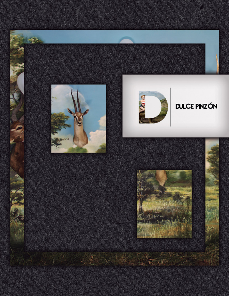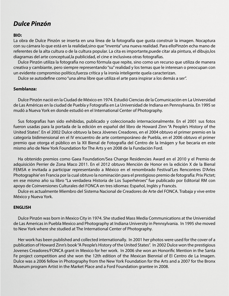## *Dulce Pinzón*

**BIO:**

La obra de Dulce Pinzón se inserta en una línea de la fotografía que gusta construir la imagen. Nocaptura con su cámara lo que está en la realidad,sino que "inventa" una nueva realidad. Para elloPinzón echa mano de referentes de la alta cultura o de la cultura popular. La cita es importante,puede citar ala pintura, el dibujo,los diagramas del arte conceptual,la publicidad, el cine e inclusivea otras fotografías.

Dulce Pinzón utiliza la fotografía no como fórmula que repite, sino como un recurso que utiliza de manera creativa y cambiante, pero siempre representando "su" realidad y los temas que le interesan o preocupan con un evidente compromiso político,fuerza crítica y la ironía inteligente quela caracterizan.

Dulce se autodefine como "una alma libre que utiliza el arte para inspirar a los demás a ser".

## **Semblanza:**

Dulce Pinzón nació en la Ciudad de México en 1974. Estudió Ciencias de la Comunicación en La Universidad de Las Américas en la ciudad de Puebla y Fotografía en La Universidad de Indiana en Pennsylvania. En 1995 se mudó a Nueva York en donde estudió en el International Center of Photography.

Sus fotografías han sido exhibidas, publicado y coleccionado internacionalmente. En el 2001 sus fotos fueron usadas para la portada de la edición en español del libro de Howard Zinn "A People's History of the United States". En el 2002 Dulce obtuvo la beca Jóvenes Creadores, en el 2004 obtuvo el primer premio en la categoría bidimensional en el IV encuentro de arte contemporáneo de Puebla, en el 2006 obtuvo el primer premio que otorga el público en la XII Bienal de Fotografía del Centro de la Imágen y fue becaria en este mismo año de New York Foundation for The Arts y en 2008 de la Fundación Ford.

Ha obtenido premios como Gaea Foundation/Sea Change Residencies Award en el 2010 y el Premio de adquisición Perrier de Zona Maco 2011. En el 2012 obtuvo Mención de Honor en la edición X de la Bienal FEMSA e invitada a participar representando a México en el renombrado Festival'Les Rencontres D'Arles Photographie' en Francia por la cual obtuvo la nominación para el prestigioso premio de fotografía: Prix Pictet; en ese mismo año su libro "La verdadera Historia de Los Superhéroes" fue publicado por Editorial RM con apoyo de Coinversiones Culturales del FONCA en tres idiomas: Español, Inglés y Francés.

Dulce es actualmente Miembro del Sistema Nacional de Creadores de Arte del FONCA. Trabaja y vive entre México y Nueva York.

## **ENGLISH**

Dulce Pinzón was born in Mexico City in 1974. She studied Mass Media Communications at the Universidad de Las Americas in Puebla Mexico and Photography at Indiana University in Pennsylvania. In 1995 she moved to New York where she studied at The International Center of Photography.

Her work has been published and collected internationally. In 2001 her photos were used for the cover of a publication of Howard Zinn's book "A People's History of the United States". In 2002 Dulce won the prestigious Jovenes Creadores/FONCA grant in Mexico for her work. In 2006 she won an Honorific Mention in the Santa Fe project competition and she won the 12th edition of the Mexican Biennial of El Centro de La Imagen. Dulce was a 2006 fellow in Photography from the New York Foundation for the Arts and a 2007 for the Bronx Museum program Artist in the Market Place and a Ford Foundation grantee in 2008.